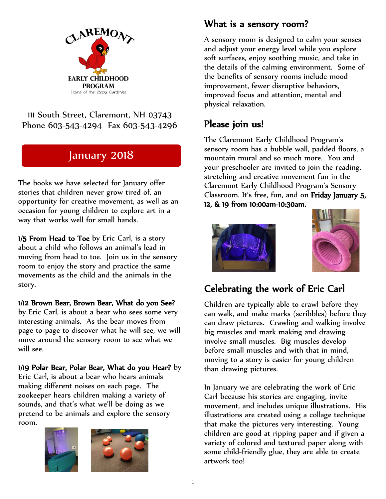

111 South Street, Claremont, NH 03743 Phone 603-543-4294 Fax 603-543-4296

# January 2018

The books we have selected for January offer stories that children never grow tired of, an opportunity for creative movement, as well as an occasion for young children to explore art in a way that works well for small hands.

1/5 From Head to Toe by Eric Carl, is a story about a child who follows an animal's lead in moving from head to toe. Join us in the sensory room to enjoy the story and practice the same movements as the child and the animals in the story.

#### 1/12 Brown Bear, Brown Bear, What do you See?

by Eric Carl, is about a bear who sees some very interesting animals. As the bear moves from page to page to discover what he will see, we will move around the sensory room to see what we will see.

#### 1/19 Polar Bear, Polar Bear, What do you Hear? by

Eric Carl, is about a bear who hears animals making different noises on each page. The zookeeper hears children making a variety of sounds, and that's what we'll be doing as we pretend to be animals and explore the sensory room.



#### What is a sensory room?

A sensory room is designed to calm your senses and adjust your energy level while you explore soft surfaces, enjoy soothing music, and take in the details of the calming environment. Some of the benefits of sensory rooms include mood improvement, fewer disruptive behaviors, improved focus and attention, mental and physical relaxation.

### Please join us!

The Claremont Early Childhood Program's sensory room has a bubble wall, padded floors, a mountain mural and so much more. You and your preschooler are invited to join the reading, stretching and creative movement fun in the Claremont Early Childhood Program's Sensory Classroom. It's free, fun, and on Friday January 5, 12, & 19 from 10:00am-10:30am.





# Celebrating the work of Eric Carl

Children are typically able to crawl before they can walk, and make marks (scribbles) before they can draw pictures. Crawling and walking involve big muscles and mark making and drawing involve small muscles. Big muscles develop before small muscles and with that in mind, moving to a story is easier for young children than drawing pictures.

In January we are celebrating the work of Eric Carl because his stories are engaging, invite movement, and includes unique illustrations. His illustrations are created using a collage technique that make the pictures very interesting. Young children are good at ripping paper and if given a variety of colored and textured paper along with some child-friendly glue, they are able to create artwork too!